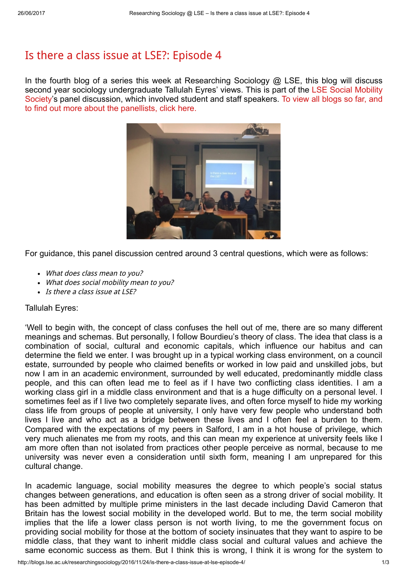## Is there a class issue at LSE?: [Episode](http://blogs.lse.ac.uk/researchingsociology/2016/11/24/is-there-a-class-issue-at-lse-episode-4/) 4

In the fourth blog of a series this week at Researching Sociology @ LSE, this blog will discuss second year sociology [undergraduate](https://www.facebook.com/LSESUSocialMobilitySoc/) Tallulah Eyres' views. This is part of the LSE Social Mobility Society's panel [discussion,](http://blogs.lse.ac.uk/researchingsociology/) which involved student and staff speakers. To view all blogs so far, and to find out more about the panellists, click here.



For guidance, this panel discussion centred around 3 central questions, which were as follows:

- What does class mean to you?
- What does social mobility mean to you?
- Is there a class issue at LSE?

## Tallulah Eyres:

'Well to begin with, the concept of class confuses the hell out of me, there are so many different meanings and schemas. But personally, I follow Bourdieu's theory of class. The idea that class is a combination of social, cultural and economic capitals, which influence our habitus and can determine the field we enter. I was brought up in a typical working class environment, on a council estate, surrounded by people who claimed benefits or worked in low paid and unskilled jobs, but now I am in an academic environment, surrounded by well educated, predominantly middle class people, and this can often lead me to feel as if I have two conflicting class identities. I am a working class girl in a middle class environment and that is a huge difficulty on a personal level. I sometimes feel as if I live two completely separate lives, and often force myself to hide my working class life from groups of people at university, I only have very few people who understand both lives I live and who act as a bridge between these lives and I often feel a burden to them. Compared with the expectations of my peers in Salford, I am in a hot house of privilege, which very much alienates me from my roots, and this can mean my experience at university feels like I am more often than not isolated from practices other people perceive as normal, because to me university was never even a consideration until sixth form, meaning I am unprepared for this cultural change.

In academic language, social mobility measures the degree to which people's social status changes between generations, and education is often seen as a strong driver of social mobility. It has been admitted by multiple prime ministers in the last decade including David Cameron that Britain has the lowest social mobility in the developed world. But to me, the term social mobility implies that the life a lower class person is not worth living, to me the government focus on providing social mobility for those at the bottom of society insinuates that they want to aspire to be middle class, that they want to inherit middle class social and cultural values and achieve the same economic success as them. But I think this is wrong, I think it is wrong for the system to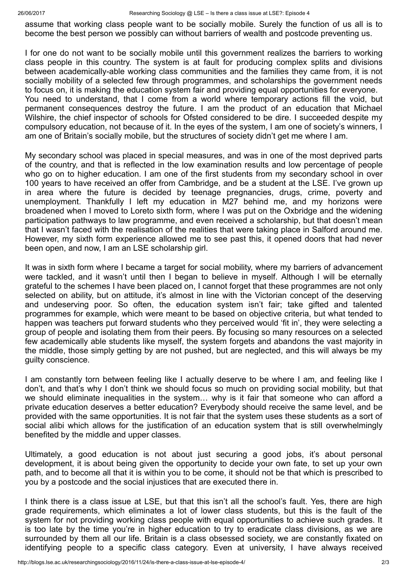assume that working class people want to be socially mobile. Surely the function of us all is to become the best person we possibly can without barriers of wealth and postcode preventing us.

I for one do not want to be socially mobile until this government realizes the barriers to working class people in this country. The system is at fault for producing complex splits and divisions between academically-able working class communities and the families they came from, it is not socially mobility of a selected few through programmes, and scholarships the government needs to focus on, it is making the education system fair and providing equal opportunities for everyone. You need to understand, that I come from a world where temporary actions fill the void, but permanent consequences destroy the future. I am the product of an education that Michael Wilshire, the chief inspector of schools for Ofsted considered to be dire. I succeeded despite my compulsory education, not because of it. In the eyes of the system, I am one of society's winners, I am one of Britain's socially mobile, but the structures of society didn't get me where I am.

My secondary school was placed in special measures, and was in one of the most deprived parts of the country, and that is reflected in the low examination results and low percentage of people who go on to higher education. I am one of the first students from my secondary school in over 100 years to have received an offer from Cambridge, and be a student at the LSE. I've grown up in area where the future is decided by teenage pregnancies, drugs, crime, poverty and unemployment. Thankfully I left my education in M27 behind me, and my horizons were broadened when I moved to Loreto sixth form, where I was put on the Oxbridge and the widening participation pathways to law programme, and even received a scholarship, but that doesn't mean that I wasn't faced with the realisation of the realities that were taking place in Salford around me. However, my sixth form experience allowed me to see past this, it opened doors that had never been open, and now, I am an LSE scholarship girl.

It was in sixth form where I became a target for social mobility, where my barriers of advancement were tackled, and it wasn't until then I began to believe in myself. Although I will be eternally grateful to the schemes I have been placed on, I cannot forget that these programmes are not only selected on ability, but on attitude, it's almost in line with the Victorian concept of the deserving and undeserving poor. So often, the education system isn't fair; take gifted and talented programmes for example, which were meant to be based on objective criteria, but what tended to happen was teachers put forward students who they perceived would 'fit in', they were selecting a group of people and isolating them from their peers. By focusing so many resources on a selected few academically able students like myself, the system forgets and abandons the vast majority in the middle, those simply getting by are not pushed, but are neglected, and this will always be my guilty conscience.

I am constantly torn between feeling like I actually deserve to be where I am, and feeling like I don't, and that's why I don't think we should focus so much on providing social mobility, but that we should eliminate inequalities in the system… why is it fair that someone who can afford a private education deserves a better education? Everybody should receive the same level, and be provided with the same opportunities. It is not fair that the system uses these students as a sort of social alibi which allows for the justification of an education system that is still overwhelmingly benefited by the middle and upper classes.

Ultimately, a good education is not about just securing a good jobs, it's about personal development, it is about being given the opportunity to decide your own fate, to set up your own path, and to become all that it is within you to be come, it should not be that which is prescribed to you by a postcode and the social injustices that are executed there in.

I think there is a class issue at LSE, but that this isn't all the school's fault. Yes, there are high grade requirements, which eliminates a lot of lower class students, but this is the fault of the system for not providing working class people with equal opportunities to achieve such grades. It is too late by the time you're in higher education to try to eradicate class divisions, as we are surrounded by them all our life. Britain is a class obsessed society, we are constantly fixated on identifying people to a specific class category. Even at university, I have always received